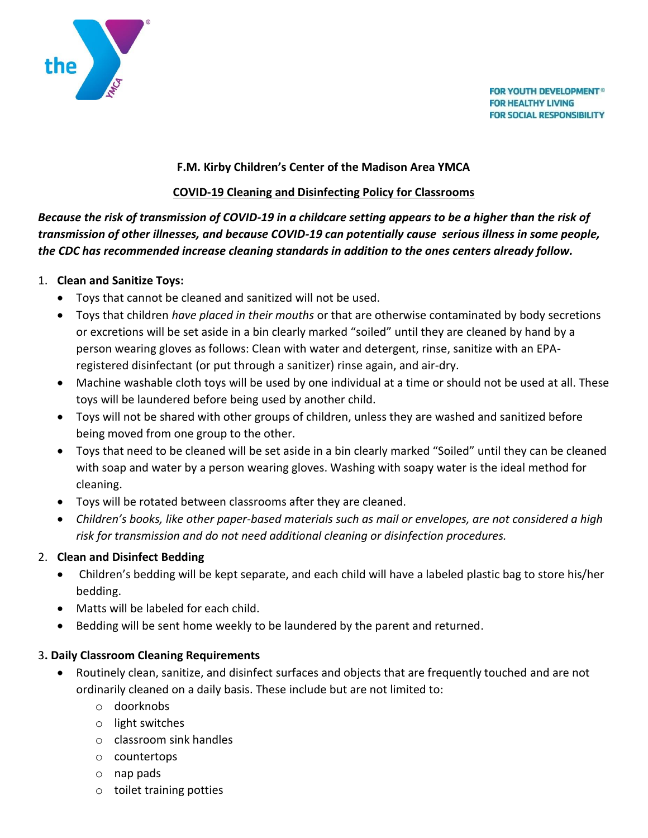

**FOR YOUTH DEVELOPMENT<sup>®</sup> FOR HEALTHY LIVING FOR SOCIAL RESPONSIBILITY** 

#### **F.M. Kirby Children's Center of the Madison Area YMCA**

#### **COVID-19 Cleaning and Disinfecting Policy for Classrooms**

*Because the risk of transmission of COVID-19 in a childcare setting appears to be a higher than the risk of transmission of other illnesses, and because COVID-19 can potentially cause serious illness in some people, the CDC has recommended increase cleaning standards in addition to the ones centers already follow.*

### 1. **Clean and Sanitize Toys:**

- Toys that cannot be cleaned and sanitized will not be used.
- Toys that children *have placed in their mouths* or that are otherwise contaminated by body secretions or excretions will be set aside in a bin clearly marked "soiled" until they are cleaned by hand by a person wearing gloves as follows: Clean with water and detergent, rinse, sanitize with an EPAregistered disinfectant (or put through a sanitizer) rinse again, and air-dry.
- Machine washable cloth toys will be used by one individual at a time or should not be used at all. These toys will b[e laundered](https://www.cdc.gov/coronavirus/2019-ncov/daily-life-coping/children.html) before being used by another child.
- Toys will not be shared with other groups of children, unless they are washed and sanitized before being moved from one group to the other.
- Toys that need to be cleaned will be set aside in a bin clearly marked "Soiled" until they can be cleaned with soap and water by a person wearing gloves. Washing with soapy water is the ideal method for cleaning.
- Toys will be rotated between classrooms after they are cleaned.
- *Children's books, like other paper-based materials such as mail or envelopes, are not considered a high risk for transmission and do not need additional cleaning or disinfection procedures.*

### 2. **Clean and Disinfect Bedding**

- Children's bedding will be kept separate, and each child will have a labeled plastic bag to store his/her bedding.
- Matts will be labeled for each child.
- Bedding will be sent home weekly to be laundered by the parent and returned.

### 3**. Daily Classroom Cleaning Requirements**

- [Routinely clean, sanitize, and disinfect](https://www.cdc.gov/coronavirus/2019-ncov/prepare/disinfecting-building-facility.html) surfaces and objects that are frequently touched and are not ordinarily cleaned on a daily basis. These include but are not limited to:
	- o doorknobs
	- o light switches
	- o classroom sink handles
	- o countertops
	- o nap pads
	- o toilet training potties